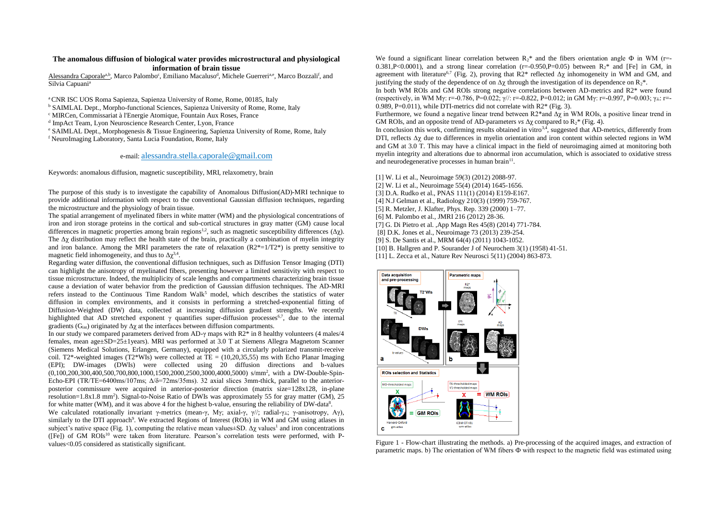## **The anomalous diffusion of biological water provides microstructural and physiological information of brain tissue**

Alessandra Caporale<sup>a,b</sup>, Marco Palombo<sup>c</sup>, Emiliano Macaluso<sup>d</sup>, Michele Guerreri<sup>a,e</sup>, Marco Bozzali<sup>f</sup>, and Silvia Capuani<sup>a</sup>

<sup>a</sup> CNR ISC UOS Roma Sapienza, Sapienza University of Rome, Rome, 00185, Italy

<sup>b</sup> SAIMLAL Dept., Morpho-functional Sciences, Sapienza University of Rome, Rome, Italy

<sup>c</sup> MIRCen, Commissariat à l'Energie Atomique, Fountain Aux Roses, France

d ImpAct Team, Lyon Neuroscience Research Center, Lyon, France

<sup>e</sup> SAIMLAL Dept., Morphogenesis & Tissue Engineering, Sapienza University of Rome, Rome, Italy

<sup>f</sup> NeuroImaging Laboratory, Santa Lucia Foundation, Rome, Italy

## e-mail: alessandra.stella.caporale@gmail.com

Keywords: anomalous diffusion, magnetic susceptibility, MRI, relaxometry, brain

The purpose of this study is to investigate the capability of Anomalous Diffusion(AD)-MRI technique to provide additional information with respect to the conventional Gaussian diffusion techniques, regarding the microstructure and the physiology of brain tissue.

The spatial arrangement of myelinated fibers in white matter (WM) and the physiological concentrations of iron and iron storage proteins in the cortical and sub-cortical structures in gray matter (GM) cause local differences in magnetic properties among brain regions<sup>1,2</sup>, such as magnetic susceptibility differences ( $\Delta \chi$ ). The Δχ distribution may reflect the health state of the brain, practically a combination of myelin integrity and iron balance. Among the MRI parameters the rate of relaxation  $(R2^* = 1/T2^*)$  is pretty sensitive to magnetic field inhomogeneity, and thus to  $\Delta \chi^{3,4}$ .

Regarding water diffusion, the conventional diffusion techniques, such as Diffusion Tensor Imaging (DTI) can highlight the anisotropy of myelinated fibers, presenting however a limited sensitivity with respect to tissue microstructure. Indeed, the multiplicity of scale lengths and compartments characterizing brain tissue cause a deviation of water behavior from the prediction of Gaussian diffusion techniques. The AD-MRI refers instead to the Continuous Time Random Walk<sup>5</sup> model, which describes the statistics of water diffusion in complex environments, and it consists in performing a stretched-exponential fitting of Diffusion-Weighted (DW) data, collected at increasing diffusion gradient strengths. We recently highlighted that AD stretched exponent  $\gamma$  quantifies super-diffusion processes<sup>6,7</sup>, due to the internal gradients  $(G_{in})$  originated by  $\Delta y$  at the interfaces between diffusion compartments.

In our study we compared parameters derived from AD-γ maps with R2\* in 8 healthy volunteers (4 males/4 females, mean age±SD=25±1years). MRI was performed at 3.0 T at Siemens Allegra Magnetom Scanner (Siemens Medical Solutions, Erlangen, Germany), equipped with a circularly polarized transmit-receive coil. T2\*-weighted images (T2\*WIs) were collected at  $TE = (10,20,35,55)$  ms with Echo Planar Imaging (EPI); DW-images (DWIs) were collected using 20 diffusion directions and b-values (0,100,200,300,400,500,700,800,1000,1500,2000,2500,3000,4000,5000) s/mm<sup>2</sup> , with a DW-Double-Spin-Echo-EPI (TR/TE=6400ms/107ms;  $\Delta/\delta$ =72ms/35ms). 32 axial slices 3mm-thick, parallel to the anteriorposterior commissure were acquired in anterior-posterior direction (matrix size=128x128, in-plane resolution=1.8x1.8 mm<sup>2</sup>). Signal-to-Noise Ratio of DWIs was approximately 55 for gray matter (GM), 25 for white matter (WM), and it was above 4 for the highest b-value, ensuring the reliability of DW-data<sup>8</sup>.

We calculated rotationally invariant γ-metrics (mean-γ, Mγ; axial-γ, γ//; radial-γ⊥; γ-anisotropy, Aγ), similarly to the DTI approach<sup>9</sup>. We extracted Regions of Interest (ROIs) in WM and GM using atlases in subject's native space (Fig. 1), computing the relative mean values $\pm$ SD.  $\Delta \chi$  values<sup>1</sup> and iron concentrations  $(Fe)$  of GM ROIs<sup>10</sup> were taken from literature. Pearson's correlation tests were performed, with Pvalues<0.05 considered as statistically significant.

We found a significant linear correlation between  $R_{2}^{*}$  and the fibers orientation angle  $\Phi$  in WM (r=-0.381,P<0.0001), and a strong linear correlation ( $r=0.950$ ,P $=0.05$ ) between R<sub>2</sub>\* and [Fe] in GM, in agreement with literature<sup>6,7</sup> (Fig. 2), proving that  $R2^*$  reflected  $\Delta y$  inhomogeneity in WM and GM, and justifying the study of the dependence of on  $\Delta y$  through the investigation of its dependence on  $R_{2}^{*}$ .

In both WM ROIs and GM ROIs strong negative correlations between AD-metrics and R2<sup>\*</sup> were found (respectively, in WM My: r=-0.786, P=0.022;  $\gamma$ //: r=-0.822, P=0.012; in GM My: r=-0.997, P=0.003;  $\gamma\perp$ : r=-0.989, P=0.011), while DTI-metrics did not correlate with  $R2^*$  (Fig. 3).

Furthermore, we found a negative linear trend between  $R2^*$  and  $\Delta \chi$  in WM ROIs, a positive linear trend in GM ROIs, and an opposite trend of AD-parameters *vs*  $\Delta \gamma$  compared to R<sub>2</sub><sup>\*</sup> (Fig. 4).

In conclusion this work, confirming results obtained in vitro $3.4$ , suggested that AD-metrics, differently from DTI, reflects  $\Delta \gamma$  due to differences in myelin orientation and iron content within selected regions in WM and GM at 3.0 T. This may have a clinical impact in the field of neuroimaging aimed at monitoring both myelin integrity and alterations due to abnormal iron accumulation, which is associated to oxidative stress and neurodegenerative processes in human brain<sup>11</sup>.

[1] W. Li et al., Neuroimage 59(3) (2012) 2088-97.

- [2] W. Li et al., Neuroimage 55(4) (2014) 1645-1656.
- [3] D.A. Rudko et al., PNAS 111(1) (2014) E159-E167.
- [4] N.J Gelman et al., Radiology 210(3) (1999) 759-767.
- [5] R. Metzler, J. Klafter, Phys. Rep. 339 (2000) 1–77.
- [6] M. Palombo et al., JMRI 216 (2012) 28-36.
- [7] G. Di Pietro et al. ,App Magn Res 45(8) (2014) 771-784.
- [8] D.K. Jones et al., Neuroimage 73 (2013) 239-254.
- [9] S. De Santis et al., MRM 64(4) (2011) 1043-1052.
- [10] B. Hallgren and P. Sourander J of Neurochem 3(1) (1958) 41-51.
- [11] L. Zecca et al., Nature Rev Neurosci 5(11) (2004) 863-873.



Figure 1 - Flow-chart illustrating the methods. a) Pre-processing of the acquired images, and extraction of parametric maps. b) The orientation of WM fibers Ф with respect to the magnetic field was estimated using